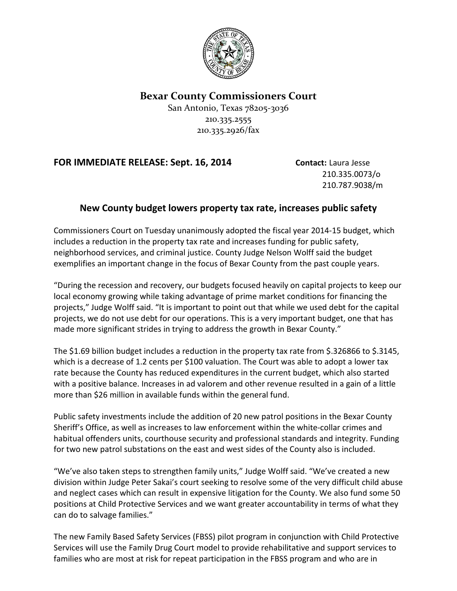

**Bexar County Commissioners Court**

San Antonio, Texas 78205-3036 210.335.2555 210.335.2926/fax

## **FOR IMMEDIATE RELEASE: Sept. 16, 2014 Contact:** Laura Jesse

210.335.0073/o 210.787.9038/m

## **New County budget lowers property tax rate, increases public safety**

Commissioners Court on Tuesday unanimously adopted the fiscal year 2014-15 budget, which includes a reduction in the property tax rate and increases funding for public safety, neighborhood services, and criminal justice. County Judge Nelson Wolff said the budget exemplifies an important change in the focus of Bexar County from the past couple years.

"During the recession and recovery, our budgets focused heavily on capital projects to keep our local economy growing while taking advantage of prime market conditions for financing the projects," Judge Wolff said. "It is important to point out that while we used debt for the capital projects, we do not use debt for our operations. This is a very important budget, one that has made more significant strides in trying to address the growth in Bexar County."

The \$1.69 billion budget includes a reduction in the property tax rate from \$.326866 to \$.3145, which is a decrease of 1.2 cents per \$100 valuation. The Court was able to adopt a lower tax rate because the County has reduced expenditures in the current budget, which also started with a positive balance. Increases in ad valorem and other revenue resulted in a gain of a little more than \$26 million in available funds within the general fund.

Public safety investments include the addition of 20 new patrol positions in the Bexar County Sheriff's Office, as well as increases to law enforcement within the white-collar crimes and habitual offenders units, courthouse security and professional standards and integrity. Funding for two new patrol substations on the east and west sides of the County also is included.

"We've also taken steps to strengthen family units," Judge Wolff said. "We've created a new division within Judge Peter Sakai's court seeking to resolve some of the very difficult child abuse and neglect cases which can result in expensive litigation for the County. We also fund some 50 positions at Child Protective Services and we want greater accountability in terms of what they can do to salvage families."

The new Family Based Safety Services (FBSS) pilot program in conjunction with Child Protective Services will use the Family Drug Court model to provide rehabilitative and support services to families who are most at risk for repeat participation in the FBSS program and who are in